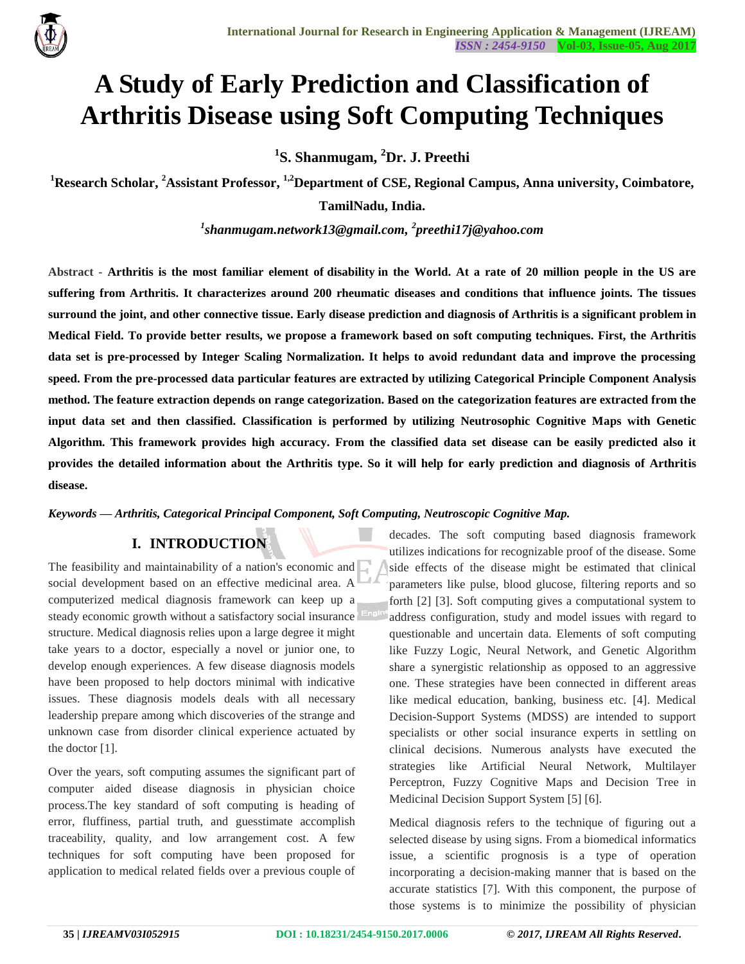

# **A Study of Early Prediction and Classification of Arthritis Disease using Soft Computing Techniques**

**1 S. Shanmugam, <sup>2</sup>Dr. J. Preethi** 

**<sup>1</sup>Research Scholar, <sup>2</sup>Assistant Professor, 1,2Department of CSE, Regional Campus, Anna university, Coimbatore,** 

**TamilNadu, India.**

*1 shanmugam.network13@gmail.com, <sup>2</sup> preethi17j@yahoo.com*

**Abstract - Arthritis is the most familiar element of disability in the World. At a rate of 20 million people in the US are suffering from Arthritis. It characterizes around 200 rheumatic diseases and conditions that influence joints. The tissues surround the joint, and other connective tissue. Early disease prediction and diagnosis of Arthritis is a significant problem in Medical Field. To provide better results, we propose a framework based on soft computing techniques. First, the Arthritis data set is pre-processed by Integer Scaling Normalization. It helps to avoid redundant data and improve the processing speed. From the pre-processed data particular features are extracted by utilizing Categorical Principle Component Analysis method. The feature extraction depends on range categorization. Based on the categorization features are extracted from the input data set and then classified. Classification is performed by utilizing Neutrosophic Cognitive Maps with Genetic Algorithm. This framework provides high accuracy. From the classified data set disease can be easily predicted also it provides the detailed information about the Arthritis type. So it will help for early prediction and diagnosis of Arthritis disease.**

#### *Keywords* **—** *Arthritis, Categorical Principal Component, Soft Computing, Neutroscopic Cognitive Map.*

# **I. INTRODUCTION<sup>1</sup>**

The feasibility and maintainability of a nation's economic and social development based on an effective medicinal area. A computerized medical diagnosis framework can keep up a steady economic growth without a satisfactory social insurance structure. Medical diagnosis relies upon a large degree it might take years to a doctor, especially a novel or junior one, to develop enough experiences. A few disease diagnosis models have been proposed to help doctors minimal with indicative issues. These diagnosis models deals with all necessary leadership prepare among which discoveries of the strange and unknown case from disorder clinical experience actuated by the doctor [1].

Over the years, soft computing assumes the significant part of computer aided disease diagnosis in physician choice process.The key standard of soft computing is heading of error, fluffiness, partial truth, and guesstimate accomplish traceability, quality, and low arrangement cost. A few techniques for soft computing have been proposed for application to medical related fields over a previous couple of

decades. The soft computing based diagnosis framework utilizes indications for recognizable proof of the disease. Some side effects of the disease might be estimated that clinical parameters like pulse, blood glucose, filtering reports and so forth [2] [3]. Soft computing gives a computational system to address configuration, study and model issues with regard to questionable and uncertain data. Elements of soft computing like Fuzzy Logic, Neural Network, and Genetic Algorithm share a synergistic relationship as opposed to an aggressive one. These strategies have been connected in different areas like medical education, banking, business etc. [4]. Medical Decision-Support Systems (MDSS) are intended to support specialists or other social insurance experts in settling on clinical decisions. Numerous analysts have executed the strategies like Artificial Neural Network, Multilayer Perceptron, Fuzzy Cognitive Maps and Decision Tree in Medicinal Decision Support System [5] [6].

Medical diagnosis refers to the technique of figuring out a selected disease by using signs. From a biomedical informatics issue, a scientific prognosis is a type of operation incorporating a decision-making manner that is based on the accurate statistics [7]. With this component, the purpose of those systems is to minimize the possibility of physician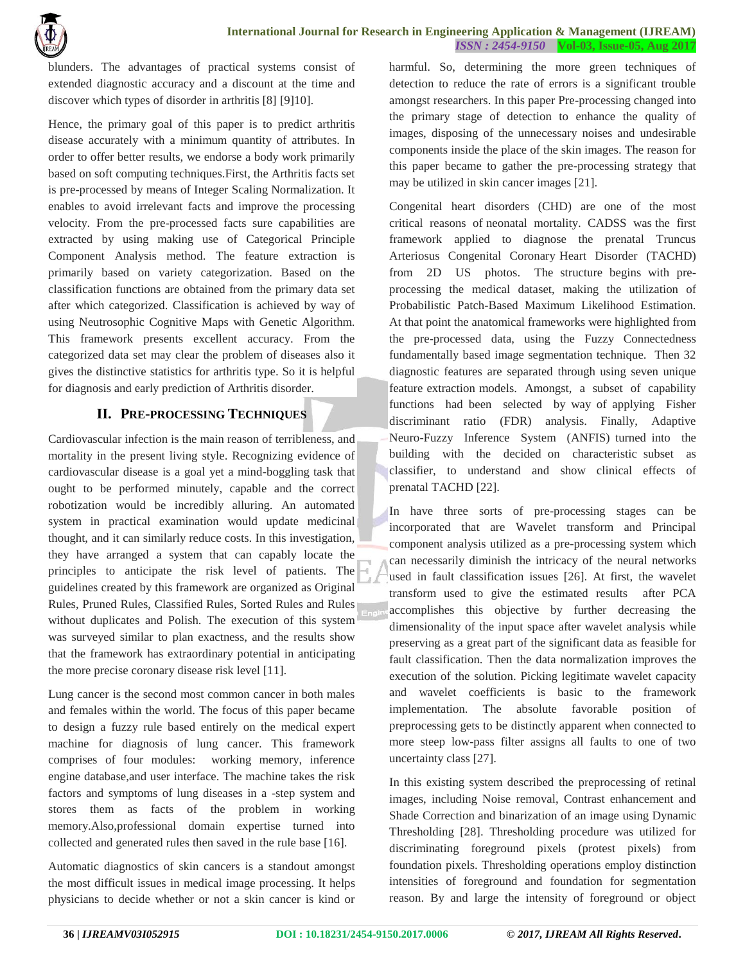blunders. The advantages of practical systems consist of extended diagnostic accuracy and a discount at the time and discover which types of disorder in arthritis [8] [9]10].

Hence, the primary goal of this paper is to predict arthritis disease accurately with a minimum quantity of attributes. In order to offer better results, we endorse a body work primarily based on soft computing techniques.First, the Arthritis facts set is pre-processed by means of Integer Scaling Normalization. It enables to avoid irrelevant facts and improve the processing velocity. From the pre-processed facts sure capabilities are extracted by using making use of Categorical Principle Component Analysis method. The feature extraction is primarily based on variety categorization. Based on the classification functions are obtained from the primary data set after which categorized. Classification is achieved by way of using Neutrosophic Cognitive Maps with Genetic Algorithm. This framework presents excellent accuracy. From the categorized data set may clear the problem of diseases also it gives the distinctive statistics for arthritis type. So it is helpful for diagnosis and early prediction of Arthritis disorder.

# **II. PRE-PROCESSING TECHNIQUES**

Cardiovascular infection is the main reason of terribleness, and mortality in the present living style. Recognizing evidence of cardiovascular disease is a goal yet a mind-boggling task that ought to be performed minutely, capable and the correct robotization would be incredibly alluring. An automated system in practical examination would update medicinal thought, and it can similarly reduce costs. In this investigation, they have arranged a system that can capably locate the principles to anticipate the risk level of patients. The guidelines created by this framework are organized as Original Rules, Pruned Rules, Classified Rules, Sorted Rules and Rules without duplicates and Polish. The execution of this system was surveyed similar to plan exactness, and the results show that the framework has extraordinary potential in anticipating the more precise coronary disease risk level [11].

Lung cancer is the second most common cancer in both males and females within the world. The focus of this paper became to design a fuzzy rule based entirely on the medical expert machine for diagnosis of lung cancer. This framework comprises of four modules: working memory, inference engine database,and user interface. The machine takes the risk factors and symptoms of lung diseases in a -step system and stores them as facts of the problem in working memory.Also,professional domain expertise turned into collected and generated rules then saved in the rule base [16].

Automatic diagnostics of skin cancers is a standout amongst the most difficult issues in medical image processing. It helps physicians to decide whether or not a skin cancer is kind or harmful. So, determining the more green techniques of detection to reduce the rate of errors is a significant trouble amongst researchers. In this paper Pre-processing changed into the primary stage of detection to enhance the quality of images, disposing of the unnecessary noises and undesirable components inside the place of the skin images. The reason for this paper became to gather the pre-processing strategy that may be utilized in skin cancer images [21].

Congenital heart disorders (CHD) are one of the most critical reasons of neonatal mortality. CADSS was the first framework applied to diagnose the prenatal Truncus Arteriosus Congenital Coronary Heart Disorder (TACHD) from 2D US photos. The structure begins with preprocessing the medical dataset, making the utilization of Probabilistic Patch-Based Maximum Likelihood Estimation. At that point the anatomical frameworks were highlighted from the pre-processed data, using the Fuzzy Connectedness fundamentally based image segmentation technique. Then 32 diagnostic features are separated through using seven unique feature extraction models. Amongst, a subset of capability functions had been selected by way of applying Fisher discriminant ratio (FDR) analysis. Finally, Adaptive Neuro-Fuzzy Inference System (ANFIS) turned into the building with the decided on characteristic subset as classifier, to understand and show clinical effects of prenatal TACHD [22].

In have three sorts of pre-processing stages can be incorporated that are Wavelet transform and Principal component analysis utilized as a pre-processing system which can necessarily diminish the intricacy of the neural networks used in fault classification issues [26]. At first, the wavelet transform used to give the estimated results after PCA accomplishes this objective by further decreasing the dimensionality of the input space after wavelet analysis while preserving as a great part of the significant data as feasible for fault classification. Then the data normalization improves the execution of the solution. Picking legitimate wavelet capacity and wavelet coefficients is basic to the framework implementation. The absolute favorable position of preprocessing gets to be distinctly apparent when connected to more steep low-pass filter assigns all faults to one of two uncertainty class [27].

In this existing system described the preprocessing of retinal images, including Noise removal, Contrast enhancement and Shade Correction and binarization of an image using Dynamic Thresholding [28]. Thresholding procedure was utilized for discriminating foreground pixels (protest pixels) from foundation pixels. Thresholding operations employ distinction intensities of foreground and foundation for segmentation reason. By and large the intensity of foreground or object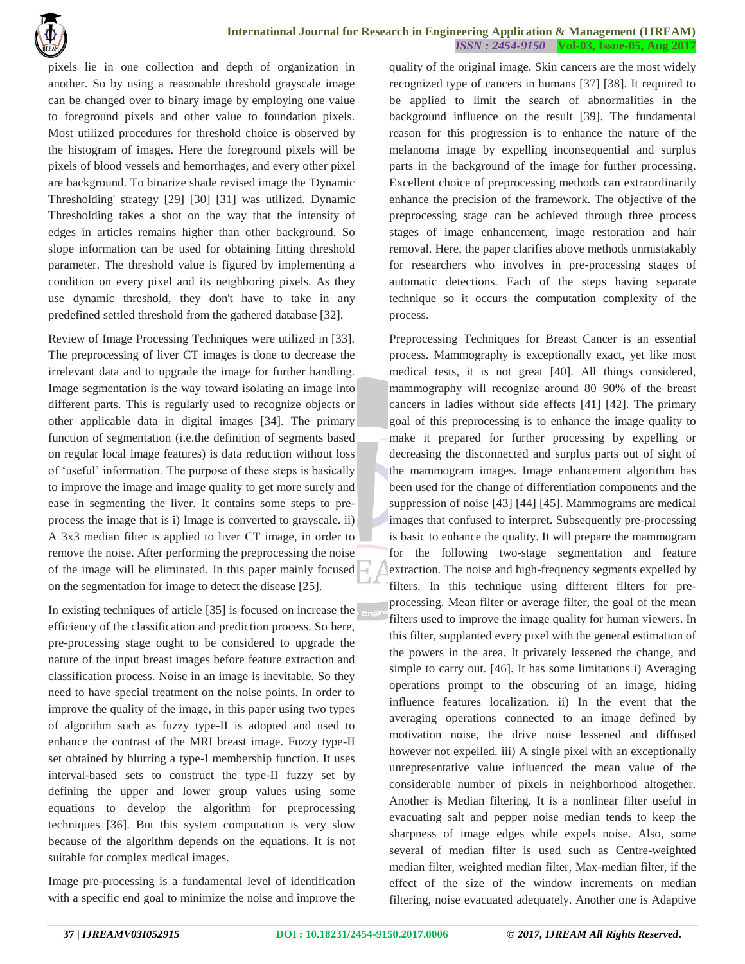

pixels lie in one collection and depth of organization in another. So by using a reasonable threshold grayscale image can be changed over to binary image by employing one value to foreground pixels and other value to foundation pixels. Most utilized procedures for threshold choice is observed by the histogram of images. Here the foreground pixels will be pixels of blood vessels and hemorrhages, and every other pixel are background. To binarize shade revised image the 'Dynamic Thresholding' strategy [29] [30] [31] was utilized. Dynamic Thresholding takes a shot on the way that the intensity of edges in articles remains higher than other background. So slope information can be used for obtaining fitting threshold parameter. The threshold value is figured by implementing a condition on every pixel and its neighboring pixels. As they use dynamic threshold, they don't have to take in any predefined settled threshold from the gathered database [32].

Review of Image Processing Techniques were utilized in [33]. The preprocessing of liver CT images is done to decrease the irrelevant data and to upgrade the image for further handling. Image segmentation is the way toward isolating an image into different parts. This is regularly used to recognize objects or other applicable data in digital images [34]. The primary function of segmentation (i.e.the definition of segments based on regular local image features) is data reduction without loss of "useful" information. The purpose of these steps is basically to improve the image and image quality to get more surely and ease in segmenting the liver. It contains some steps to preprocess the image that is i) Image is converted to grayscale. ii) A 3x3 median filter is applied to liver CT image, in order to remove the noise. After performing the preprocessing the noise of the image will be eliminated. In this paper mainly focused on the segmentation for image to detect the disease [25].

In existing techniques of article [35] is focused on increase the efficiency of the classification and prediction process. So here, pre-processing stage ought to be considered to upgrade the nature of the input breast images before feature extraction and classification process. Noise in an image is inevitable. So they need to have special treatment on the noise points. In order to improve the quality of the image, in this paper using two types of algorithm such as fuzzy type-II is adopted and used to enhance the contrast of the MRI breast image. Fuzzy type-II set obtained by blurring a type-I membership function. It uses interval-based sets to construct the type-II fuzzy set by defining the upper and lower group values using some equations to develop the algorithm for preprocessing techniques [36]. But this system computation is very slow because of the algorithm depends on the equations. It is not suitable for complex medical images.

Image pre-processing is a fundamental level of identification with a specific end goal to minimize the noise and improve the

quality of the original image. Skin cancers are the most widely recognized type of cancers in humans [37] [38]. It required to be applied to limit the search of abnormalities in the background influence on the result [39]. The fundamental reason for this progression is to enhance the nature of the melanoma image by expelling inconsequential and surplus parts in the background of the image for further processing. Excellent choice of preprocessing methods can extraordinarily enhance the precision of the framework. The objective of the preprocessing stage can be achieved through three process stages of image enhancement, image restoration and hair removal. Here, the paper clarifies above methods unmistakably for researchers who involves in pre-processing stages of automatic detections. Each of the steps having separate technique so it occurs the computation complexity of the process.

Preprocessing Techniques for Breast Cancer is an essential process. Mammography is exceptionally exact, yet like most medical tests, it is not great [40]. All things considered, mammography will recognize around 80–90% of the breast cancers in ladies without side effects [41] [42]. The primary goal of this preprocessing is to enhance the image quality to make it prepared for further processing by expelling or decreasing the disconnected and surplus parts out of sight of the mammogram images. Image enhancement algorithm has been used for the change of differentiation components and the suppression of noise [43] [44] [45]. Mammograms are medical images that confused to interpret. Subsequently pre-processing is basic to enhance the quality. It will prepare the mammogram for the following two-stage segmentation and feature extraction. The noise and high-frequency segments expelled by filters. In this technique using different filters for preprocessing. Mean filter or average filter, the goal of the mean filters used to improve the image quality for human viewers. In this filter, supplanted every pixel with the general estimation of the powers in the area. It privately lessened the change, and simple to carry out. [46]. It has some limitations i) Averaging operations prompt to the obscuring of an image, hiding influence features localization. ii) In the event that the averaging operations connected to an image defined by motivation noise, the drive noise lessened and diffused however not expelled. iii) A single pixel with an exceptionally unrepresentative value influenced the mean value of the considerable number of pixels in neighborhood altogether. Another is Median filtering. It is a nonlinear filter useful in evacuating salt and pepper noise median tends to keep the sharpness of image edges while expels noise. Also, some several of median filter is used such as Centre-weighted median filter, weighted median filter, Max-median filter, if the effect of the size of the window increments on median filtering, noise evacuated adequately. Another one is Adaptive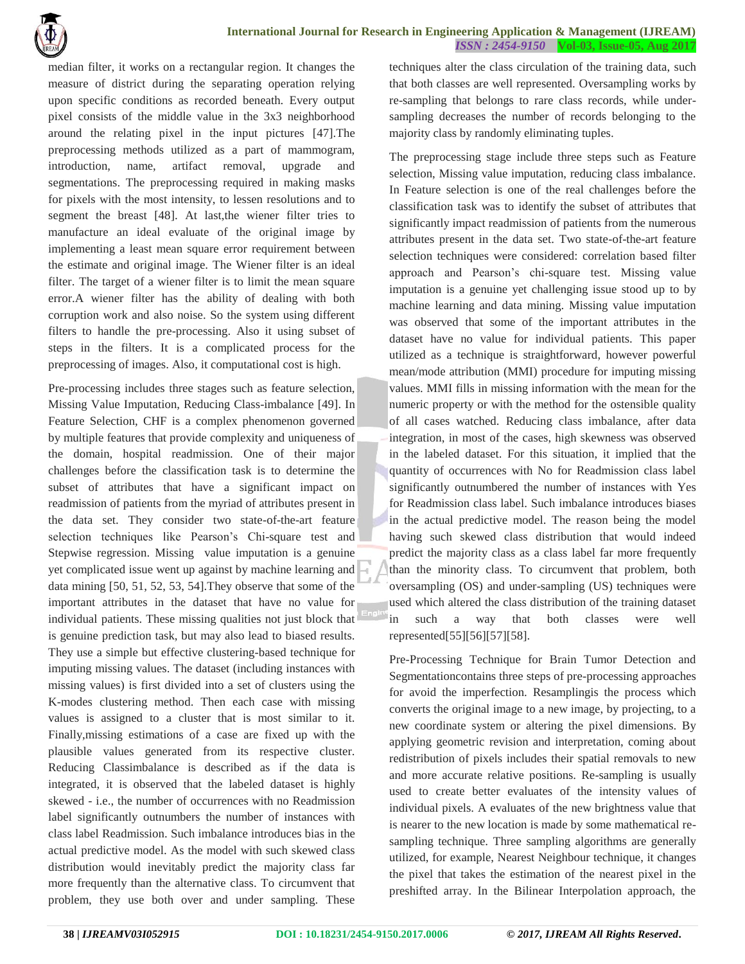

median filter, it works on a rectangular region. It changes the measure of district during the separating operation relying upon specific conditions as recorded beneath. Every output pixel consists of the middle value in the 3x3 neighborhood around the relating pixel in the input pictures [47].The preprocessing methods utilized as a part of mammogram, introduction, name, artifact removal, upgrade and segmentations. The preprocessing required in making masks for pixels with the most intensity, to lessen resolutions and to segment the breast [48]. At last,the wiener filter tries to manufacture an ideal evaluate of the original image by implementing a least mean square error requirement between the estimate and original image. The Wiener filter is an ideal filter. The target of a wiener filter is to limit the mean square error.A wiener filter has the ability of dealing with both corruption work and also noise. So the system using different filters to handle the pre-processing. Also it using subset of steps in the filters. It is a complicated process for the preprocessing of images. Also, it computational cost is high.

Pre-processing includes three stages such as feature selection, Missing Value Imputation, Reducing Class-imbalance [49]. In Feature Selection, CHF is a complex phenomenon governed by multiple features that provide complexity and uniqueness of the domain, hospital readmission. One of their major challenges before the classification task is to determine the subset of attributes that have a significant impact on readmission of patients from the myriad of attributes present in the data set. They consider two state-of-the-art feature selection techniques like Pearson"s Chi-square test and Stepwise regression. Missing value imputation is a genuine yet complicated issue went up against by machine learning and data mining [50, 51, 52, 53, 54].They observe that some of the important attributes in the dataset that have no value for individual patients. These missing qualities not just block that is genuine prediction task, but may also lead to biased results. They use a simple but effective clustering-based technique for imputing missing values. The dataset (including instances with missing values) is first divided into a set of clusters using the K-modes clustering method. Then each case with missing values is assigned to a cluster that is most similar to it. Finally,missing estimations of a case are fixed up with the plausible values generated from its respective cluster. Reducing Classimbalance is described as if the data is integrated, it is observed that the labeled dataset is highly skewed - i.e., the number of occurrences with no Readmission label significantly outnumbers the number of instances with class label Readmission. Such imbalance introduces bias in the actual predictive model. As the model with such skewed class distribution would inevitably predict the majority class far more frequently than the alternative class. To circumvent that problem, they use both over and under sampling. These

techniques alter the class circulation of the training data, such that both classes are well represented. Oversampling works by re-sampling that belongs to rare class records, while undersampling decreases the number of records belonging to the majority class by randomly eliminating tuples.

The preprocessing stage include three steps such as Feature selection, Missing value imputation, reducing class imbalance. In Feature selection is one of the real challenges before the classification task was to identify the subset of attributes that significantly impact readmission of patients from the numerous attributes present in the data set. Two state-of-the-art feature selection techniques were considered: correlation based filter approach and Pearson"s chi-square test. Missing value imputation is a genuine yet challenging issue stood up to by machine learning and data mining. Missing value imputation was observed that some of the important attributes in the dataset have no value for individual patients. This paper utilized as a technique is straightforward, however powerful mean/mode attribution (MMI) procedure for imputing missing values. MMI fills in missing information with the mean for the numeric property or with the method for the ostensible quality of all cases watched. Reducing class imbalance, after data integration, in most of the cases, high skewness was observed in the labeled dataset. For this situation, it implied that the quantity of occurrences with No for Readmission class label significantly outnumbered the number of instances with Yes for Readmission class label. Such imbalance introduces biases in the actual predictive model. The reason being the model having such skewed class distribution that would indeed predict the majority class as a class label far more frequently than the minority class. To circumvent that problem, both oversampling (OS) and under-sampling (US) techniques were used which altered the class distribution of the training dataset in such a way that both classes were well represented[55][56][57][58].

Pre-Processing Technique for Brain Tumor Detection and Segmentationcontains three steps of pre-processing approaches for avoid the imperfection. Resamplingis the process which converts the original image to a new image, by projecting, to a new coordinate system or altering the pixel dimensions. By applying geometric revision and interpretation, coming about redistribution of pixels includes their spatial removals to new and more accurate relative positions. Re-sampling is usually used to create better evaluates of the intensity values of individual pixels. A evaluates of the new brightness value that is nearer to the new location is made by some mathematical resampling technique. Three sampling algorithms are generally utilized, for example, Nearest Neighbour technique, it changes the pixel that takes the estimation of the nearest pixel in the preshifted array. In the Bilinear Interpolation approach, the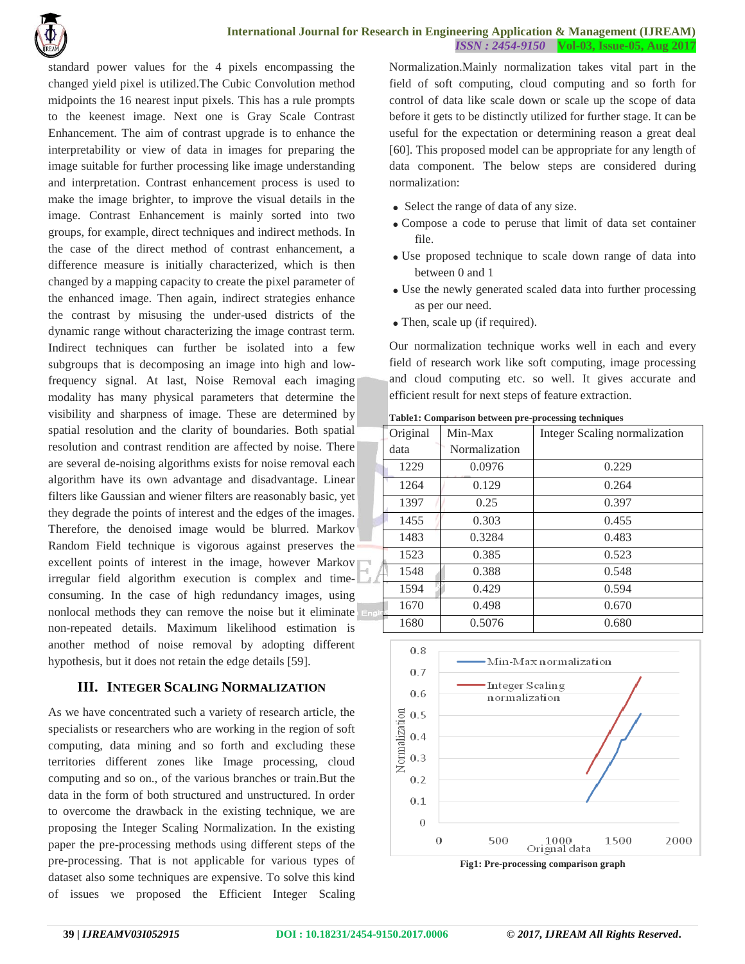

standard power values for the 4 pixels encompassing the changed yield pixel is utilized.The Cubic Convolution method midpoints the 16 nearest input pixels. This has a rule prompts to the keenest image. Next one is Gray Scale Contrast Enhancement. The aim of contrast upgrade is to enhance the interpretability or view of data in images for preparing the image suitable for further processing like image understanding and interpretation. Contrast enhancement process is used to make the image brighter, to improve the visual details in the image. Contrast Enhancement is mainly sorted into two groups, for example, direct techniques and indirect methods. In the case of the direct method of contrast enhancement, a difference measure is initially characterized, which is then changed by a mapping capacity to create the pixel parameter of the enhanced image. Then again, indirect strategies enhance the contrast by misusing the under-used districts of the dynamic range without characterizing the image contrast term. Indirect techniques can further be isolated into a few subgroups that is decomposing an image into high and lowfrequency signal. At last, Noise Removal each imaging modality has many physical parameters that determine the visibility and sharpness of image. These are determined by spatial resolution and the clarity of boundaries. Both spatial resolution and contrast rendition are affected by noise. There are several de-noising algorithms exists for noise removal each algorithm have its own advantage and disadvantage. Linear filters like Gaussian and wiener filters are reasonably basic, yet they degrade the points of interest and the edges of the images. Therefore, the denoised image would be blurred. Markov Random Field technique is vigorous against preserves the excellent points of interest in the image, however Markov irregular field algorithm execution is complex and timeconsuming. In the case of high redundancy images, using nonlocal methods they can remove the noise but it eliminate non-repeated details. Maximum likelihood estimation is another method of noise removal by adopting different hypothesis, but it does not retain the edge details [59].

#### **III. INTEGER SCALING NORMALIZATION**

As we have concentrated such a variety of research article, the specialists or researchers who are working in the region of soft computing, data mining and so forth and excluding these territories different zones like Image processing, cloud computing and so on., of the various branches or train.But the data in the form of both structured and unstructured. In order to overcome the drawback in the existing technique, we are proposing the Integer Scaling Normalization. In the existing paper the pre-processing methods using different steps of the pre-processing. That is not applicable for various types of dataset also some techniques are expensive. To solve this kind of issues we proposed the Efficient Integer Scaling

Normalization.Mainly normalization takes vital part in the field of soft computing, cloud computing and so forth for control of data like scale down or scale up the scope of data before it gets to be distinctly utilized for further stage. It can be useful for the expectation or determining reason a great deal [60]. This proposed model can be appropriate for any length of data component. The below steps are considered during normalization:

- Select the range of data of any size.
- Compose a code to peruse that limit of data set container file.
- Use proposed technique to scale down range of data into between 0 and 1
- Use the newly generated scaled data into further processing as per our need.
- Then, scale up (if required).

Our normalization technique works well in each and every field of research work like soft computing, image processing and cloud computing etc. so well. It gives accurate and efficient result for next steps of feature extraction.

|     | Original<br>Min-Max |               | Integer Scaling normalization |  |  |
|-----|---------------------|---------------|-------------------------------|--|--|
|     | data                | Normalization |                               |  |  |
|     | 1229                | 0.0976        | 0.229                         |  |  |
|     | 1264                | 0.129         | 0.264                         |  |  |
|     | 1397                | 0.25          | 0.397                         |  |  |
|     | 1455                | 0.303         | 0.455                         |  |  |
|     | 1483                | 0.3284        | 0.483                         |  |  |
|     | 1523                | 0.385         | 0.523                         |  |  |
|     | 1548                | 0.388         | 0.548                         |  |  |
|     | 1594                | 0.429         | 0.594                         |  |  |
| 16Ì | 1670                | 0.498         | 0.670                         |  |  |
|     | 1680                | 0.5076        | 0.680                         |  |  |



**Fig1: Pre-processing comparison graph**

#### **Table1: Comparison between pre-processing techniques**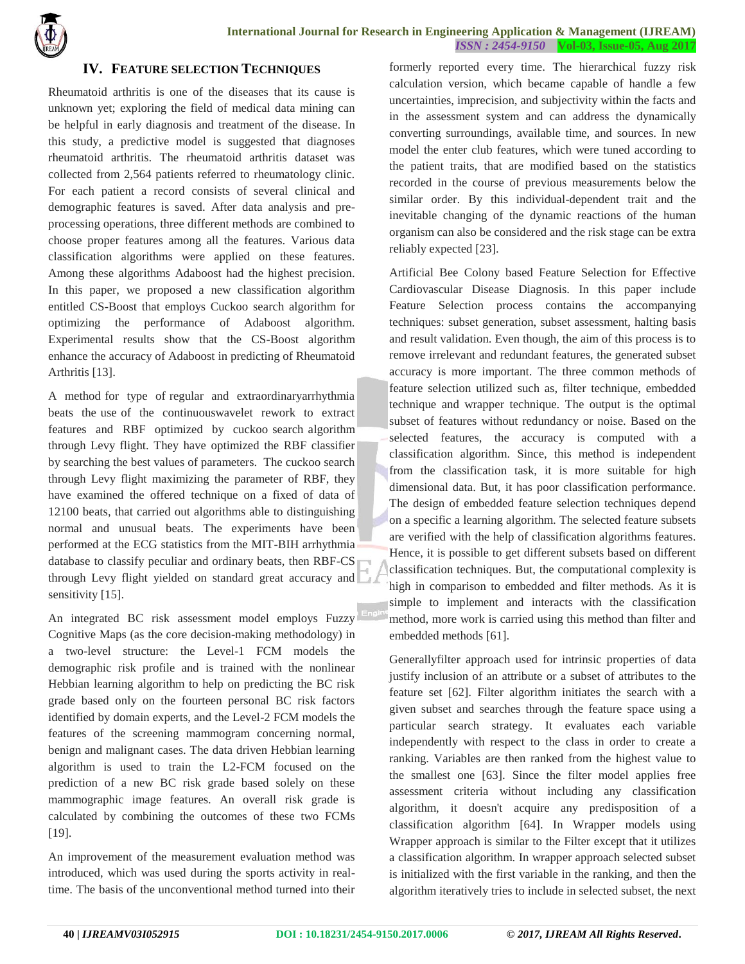

### **IV. FEATURE SELECTION TECHNIQUES**

Rheumatoid arthritis is one of the diseases that its cause is unknown yet; exploring the field of medical data mining can be helpful in early diagnosis and treatment of the disease. In this study, a predictive model is suggested that diagnoses rheumatoid arthritis. The rheumatoid arthritis dataset was collected from 2,564 patients referred to rheumatology clinic. For each patient a record consists of several clinical and demographic features is saved. After data analysis and preprocessing operations, three different methods are combined to choose proper features among all the features. Various data classification algorithms were applied on these features. Among these algorithms Adaboost had the highest precision. In this paper, we proposed a new classification algorithm entitled CS-Boost that employs Cuckoo search algorithm for optimizing the performance of Adaboost algorithm. Experimental results show that the CS-Boost algorithm enhance the accuracy of Adaboost in predicting of Rheumatoid Arthritis [13].

A method for type of regular and extraordinaryarrhythmia beats the use of the continuouswavelet rework to extract features and RBF optimized by cuckoo search algorithm through Levy flight. They have optimized the RBF classifier by searching the best values of parameters. The cuckoo search through Levy flight maximizing the parameter of RBF, they have examined the offered technique on a fixed of data of 12100 beats, that carried out algorithms able to distinguishing normal and unusual beats. The experiments have been performed at the ECG statistics from the MIT-BIH arrhythmia database to classify peculiar and ordinary beats, then RBF-CS through Levy flight yielded on standard great accuracy and sensitivity [15].

An integrated BC risk assessment model employs Fuzzy Cognitive Maps (as the core decision-making methodology) in a two-level structure: the Level-1 FCM models the demographic risk profile and is trained with the nonlinear Hebbian learning algorithm to help on predicting the BC risk grade based only on the fourteen personal BC risk factors identified by domain experts, and the Level-2 FCM models the features of the screening mammogram concerning normal, benign and malignant cases. The data driven Hebbian learning algorithm is used to train the L2-FCM focused on the prediction of a new BC risk grade based solely on these mammographic image features. An overall risk grade is calculated by combining the outcomes of these two FCMs [19].

An improvement of the measurement evaluation method was introduced, which was used during the sports activity in realtime. The basis of the unconventional method turned into their

formerly reported every time. The hierarchical fuzzy risk calculation version, which became capable of handle a few uncertainties, imprecision, and subjectivity within the facts and in the assessment system and can address the dynamically converting surroundings, available time, and sources. In new model the enter club features, which were tuned according to the patient traits, that are modified based on the statistics recorded in the course of previous measurements below the similar order. By this individual-dependent trait and the inevitable changing of the dynamic reactions of the human organism can also be considered and the risk stage can be extra reliably expected [23].

Artificial Bee Colony based Feature Selection for Effective Cardiovascular Disease Diagnosis. In this paper include Feature Selection process contains the accompanying techniques: subset generation, subset assessment, halting basis and result validation. Even though, the aim of this process is to remove irrelevant and redundant features, the generated subset accuracy is more important. The three common methods of feature selection utilized such as, filter technique, embedded technique and wrapper technique. The output is the optimal subset of features without redundancy or noise. Based on the selected features, the accuracy is computed with a classification algorithm. Since, this method is independent from the classification task, it is more suitable for high dimensional data. But, it has poor classification performance. The design of embedded feature selection techniques depend on a specific a learning algorithm. The selected feature subsets are verified with the help of classification algorithms features. Hence, it is possible to get different subsets based on different classification techniques. But, the computational complexity is high in comparison to embedded and filter methods. As it is simple to implement and interacts with the classification method, more work is carried using this method than filter and embedded methods [61].

Generallyfilter approach used for intrinsic properties of data justify inclusion of an attribute or a subset of attributes to the feature set [62]. Filter algorithm initiates the search with a given subset and searches through the feature space using a particular search strategy. It evaluates each variable independently with respect to the class in order to create a ranking. Variables are then ranked from the highest value to the smallest one [63]. Since the filter model applies free assessment criteria without including any classification algorithm, it doesn't acquire any predisposition of a classification algorithm [64]. In Wrapper models using Wrapper approach is similar to the Filter except that it utilizes a classification algorithm. In wrapper approach selected subset is initialized with the first variable in the ranking, and then the algorithm iteratively tries to include in selected subset, the next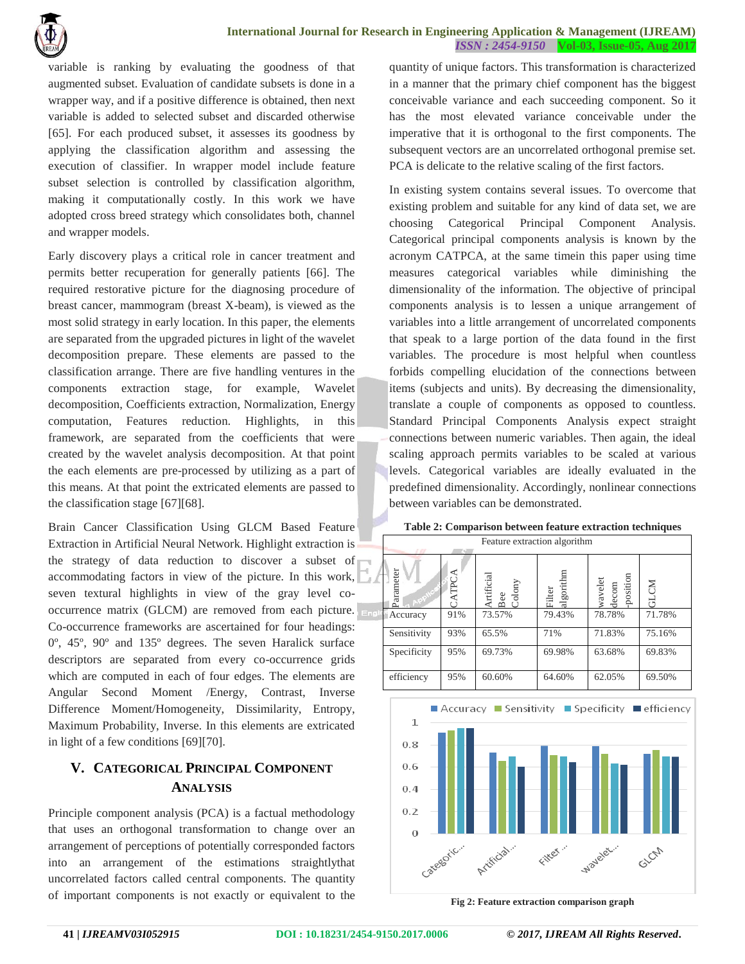

variable is ranking by evaluating the goodness of that augmented subset. Evaluation of candidate subsets is done in a wrapper way, and if a positive difference is obtained, then next variable is added to selected subset and discarded otherwise [65]. For each produced subset, it assesses its goodness by applying the classification algorithm and assessing the execution of classifier. In wrapper model include feature subset selection is controlled by classification algorithm, making it computationally costly. In this work we have adopted cross breed strategy which consolidates both, channel and wrapper models.

Early discovery plays a critical role in cancer treatment and permits better recuperation for generally patients [66]. The required restorative picture for the diagnosing procedure of breast cancer, mammogram (breast X-beam), is viewed as the most solid strategy in early location. In this paper, the elements are separated from the upgraded pictures in light of the wavelet decomposition prepare. These elements are passed to the classification arrange. There are five handling ventures in the components extraction stage, for example, Wavelet decomposition, Coefficients extraction, Normalization, Energy computation, Features reduction. Highlights, in this framework, are separated from the coefficients that were created by the wavelet analysis decomposition. At that point the each elements are pre-processed by utilizing as a part of this means. At that point the extricated elements are passed to the classification stage [67][68].

Brain Cancer Classification Using GLCM Based Feature Extraction in Artificial Neural Network. Highlight extraction is the strategy of data reduction to discover a subset of accommodating factors in view of the picture. In this work, seven textural highlights in view of the gray level cooccurrence matrix (GLCM) are removed from each picture. Co-occurrence frameworks are ascertained for four headings: 0º, 45º, 90º and 135º degrees. The seven Haralick surface descriptors are separated from every co-occurrence grids which are computed in each of four edges. The elements are Angular Second Moment /Energy, Contrast, Inverse Difference Moment/Homogeneity, Dissimilarity, Entropy, Maximum Probability, Inverse. In this elements are extricated in light of a few conditions [69][70].

# **V. CATEGORICAL PRINCIPAL COMPONENT ANALYSIS**

Principle component analysis (PCA) is a factual methodology that uses an orthogonal transformation to change over an arrangement of perceptions of potentially corresponded factors into an arrangement of the estimations straightlythat uncorrelated factors called central components. The quantity of important components is not exactly or equivalent to the

quantity of unique factors. This transformation is characterized in a manner that the primary chief component has the biggest conceivable variance and each succeeding component. So it has the most elevated variance conceivable under the imperative that it is orthogonal to the first components. The subsequent vectors are an uncorrelated orthogonal premise set. PCA is delicate to the relative scaling of the first factors.

In existing system contains several issues. To overcome that existing problem and suitable for any kind of data set, we are choosing Categorical Principal Component Analysis. Categorical principal components analysis is known by the acronym CATPCA, at the same timein this paper using time measures categorical variables while diminishing the dimensionality of the information. The objective of principal components analysis is to lessen a unique arrangement of variables into a little arrangement of uncorrelated components that speak to a large portion of the data found in the first variables. The procedure is most helpful when countless forbids compelling elucidation of the connections between items (subjects and units). By decreasing the dimensionality, translate a couple of components as opposed to countless. Standard Principal Components Analysis expect straight connections between numeric variables. Then again, the ideal scaling approach permits variables to be scaled at various levels. Categorical variables are ideally evaluated in the predefined dimensionality. Accordingly, nonlinear connections between variables can be demonstrated.

|  |  |  | Table 2: Comparison between feature extraction techniques |  |  |  |  |
|--|--|--|-----------------------------------------------------------|--|--|--|--|
|--|--|--|-----------------------------------------------------------|--|--|--|--|

| Feature extraction algorithm |        |                                       |                     |                               |         |  |  |
|------------------------------|--------|---------------------------------------|---------------------|-------------------------------|---------|--|--|
| Parameter                    | CATPCA | Artificial<br>Bee<br>$_{\rm{Colony}}$ | algorithm<br>Filter | -position<br>wavelet<br>decom | ΝC<br>름 |  |  |
| Accuracy                     | 91%    | 73.57%                                | 79.43%              | 78.78%                        | 71.78%  |  |  |
| Sensitivity                  | 93%    | 65.5%                                 | 71%                 | 71.83%                        | 75.16%  |  |  |
| Specificity                  | 95%    | 69.73%                                | 69.98%              | 63.68%                        | 69.83%  |  |  |
| efficiency                   | 95%    | 60.60%                                | 64.60%              | 62.05%                        | 69.50%  |  |  |



**Fig 2: Feature extraction comparison graph**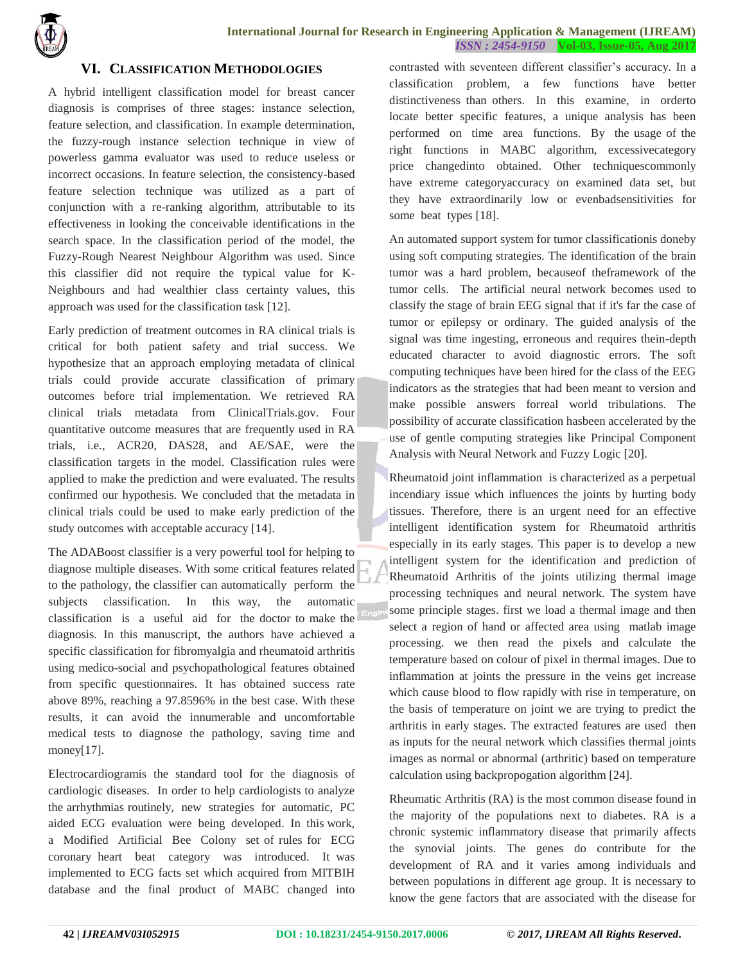

#### **VI. CLASSIFICATION METHODOLOGIES**

A hybrid intelligent classification model for breast cancer diagnosis is comprises of three stages: instance selection, feature selection, and classification. In example determination, the fuzzy-rough instance selection technique in view of powerless gamma evaluator was used to reduce useless or incorrect occasions. In feature selection, the consistency-based feature selection technique was utilized as a part of conjunction with a re-ranking algorithm, attributable to its effectiveness in looking the conceivable identifications in the search space. In the classification period of the model, the Fuzzy-Rough Nearest Neighbour Algorithm was used. Since this classifier did not require the typical value for K-Neighbours and had wealthier class certainty values, this approach was used for the classification task [12].

Early prediction of treatment outcomes in RA clinical trials is critical for both patient safety and trial success. We hypothesize that an approach employing metadata of clinical trials could provide accurate classification of primary outcomes before trial implementation. We retrieved RA clinical trials metadata from ClinicalTrials.gov. Four quantitative outcome measures that are frequently used in RA trials, i.e., ACR20, DAS28, and AE/SAE, were the classification targets in the model. Classification rules were applied to make the prediction and were evaluated. The results confirmed our hypothesis. We concluded that the metadata in clinical trials could be used to make early prediction of the study outcomes with acceptable accuracy [14].

The ADABoost classifier is a very powerful tool for helping to diagnose multiple diseases. With some critical features related to the pathology, the classifier can automatically perform the subjects classification. In this way, the automatic classification is a useful aid for the doctor to make the diagnosis. In this manuscript, the authors have achieved a specific classification for fibromyalgia and rheumatoid arthritis using medico-social and psychopathological features obtained from specific questionnaires. It has obtained success rate above 89%, reaching a 97.8596% in the best case. With these results, it can avoid the innumerable and uncomfortable medical tests to diagnose the pathology, saving time and money[17].

Electrocardiogramis the standard tool for the diagnosis of cardiologic diseases. In order to help cardiologists to analyze the arrhythmias routinely, new strategies for automatic, PC aided ECG evaluation were being developed. In this work, a Modified Artificial Bee Colony set of rules for ECG coronary heart beat category was introduced. It was implemented to ECG facts set which acquired from MITBIH database and the final product of MABC changed into

contrasted with seventeen different classifier's accuracy. In a classification problem, a few functions have better distinctiveness than others. In this examine, in orderto locate better specific features, a unique analysis has been performed on time area functions. By the usage of the right functions in MABC algorithm, excessivecategory price changedinto obtained. Other techniquescommonly have extreme categoryaccuracy on examined data set, but they have extraordinarily low or evenbadsensitivities for some beat types [18].

An automated support system for tumor classificationis doneby using soft computing strategies. The identification of the brain tumor was a hard problem, becauseof theframework of the tumor cells. The artificial neural network becomes used to classify the stage of brain EEG signal that if it's far the case of tumor or epilepsy or ordinary. The guided analysis of the signal was time ingesting, erroneous and requires thein-depth educated character to avoid diagnostic errors. The soft computing techniques have been hired for the class of the EEG indicators as the strategies that had been meant to version and make possible answers forreal world tribulations. The possibility of accurate classification hasbeen accelerated by the use of gentle computing strategies like Principal Component Analysis with Neural Network and Fuzzy Logic [20].

Rheumatoid joint inflammation is characterized as a perpetual incendiary issue which influences the joints by hurting body tissues. Therefore, there is an urgent need for an effective intelligent identification system for Rheumatoid arthritis especially in its early stages. This paper is to develop a new intelligent system for the identification and prediction of Rheumatoid Arthritis of the joints utilizing thermal image processing techniques and neural network. The system have some principle stages. first we load a thermal image and then select a region of hand or affected area using matlab image processing. we then read the pixels and calculate the temperature based on colour of pixel in thermal images. Due to inflammation at joints the pressure in the veins get increase which cause blood to flow rapidly with rise in temperature, on the basis of temperature on joint we are trying to predict the arthritis in early stages. The extracted features are used then as inputs for the neural network which classifies thermal joints images as normal or abnormal (arthritic) based on temperature calculation using backpropogation algorithm [24].

Rheumatic Arthritis (RA) is the most common disease found in the majority of the populations next to diabetes. RA is a chronic systemic inflammatory disease that primarily affects the synovial joints. The genes do contribute for the development of RA and it varies among individuals and between populations in different age group. It is necessary to know the gene factors that are associated with the disease for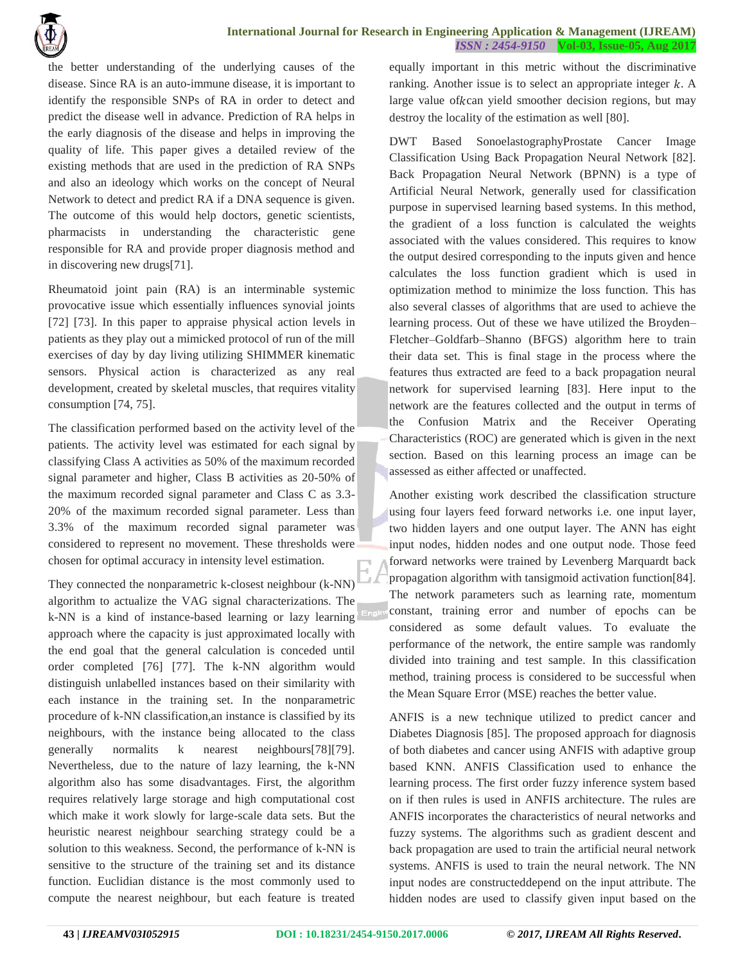

the better understanding of the underlying causes of the disease. Since RA is an auto-immune disease, it is important to identify the responsible SNPs of RA in order to detect and predict the disease well in advance. Prediction of RA helps in the early diagnosis of the disease and helps in improving the quality of life. This paper gives a detailed review of the existing methods that are used in the prediction of RA SNPs and also an ideology which works on the concept of Neural Network to detect and predict RA if a DNA sequence is given. The outcome of this would help doctors, genetic scientists, pharmacists in understanding the characteristic gene responsible for RA and provide proper diagnosis method and in discovering new drugs[71].

Rheumatoid joint pain (RA) is an interminable systemic provocative issue which essentially influences synovial joints [72] [73]. In this paper to appraise physical action levels in patients as they play out a mimicked protocol of run of the mill exercises of day by day living utilizing SHIMMER kinematic sensors. Physical action is characterized as any real development, created by skeletal muscles, that requires vitality consumption [74, 75].

The classification performed based on the activity level of the patients. The activity level was estimated for each signal by classifying Class A activities as 50% of the maximum recorded signal parameter and higher, Class B activities as 20-50% of the maximum recorded signal parameter and Class C as 3.3- 20% of the maximum recorded signal parameter. Less than 3.3% of the maximum recorded signal parameter was considered to represent no movement. These thresholds were chosen for optimal accuracy in intensity level estimation.

They connected the nonparametric k-closest neighbour (k-NN) algorithm to actualize the VAG signal characterizations. The k-NN is a kind of instance-based learning or lazy learning approach where the capacity is just approximated locally with the end goal that the general calculation is conceded until order completed [76] [77]. The k-NN algorithm would distinguish unlabelled instances based on their similarity with each instance in the training set. In the nonparametric procedure of k-NN classification,an instance is classified by its neighbours, with the instance being allocated to the class generally normalits k nearest neighbours[78][79]. Nevertheless, due to the nature of lazy learning, the k-NN algorithm also has some disadvantages. First, the algorithm requires relatively large storage and high computational cost which make it work slowly for large-scale data sets. But the heuristic nearest neighbour searching strategy could be a solution to this weakness. Second, the performance of k-NN is sensitive to the structure of the training set and its distance function. Euclidian distance is the most commonly used to compute the nearest neighbour, but each feature is treated

equally important in this metric without the discriminative ranking. Another issue is to select an appropriate integer  $k$ . A large value of kcan yield smoother decision regions, but may destroy the locality of the estimation as well [80].

DWT Based SonoelastographyProstate Cancer Image Classification Using Back Propagation Neural Network [82]. Back Propagation Neural Network (BPNN) is a type of Artificial Neural Network, generally used for classification purpose in supervised learning based systems. In this method, the gradient of a loss function is calculated the weights associated with the values considered. This requires to know the output desired corresponding to the inputs given and hence calculates the loss function gradient which is used in optimization method to minimize the loss function. This has also several classes of algorithms that are used to achieve the learning process. Out of these we have utilized the Broyden– Fletcher–Goldfarb–Shanno (BFGS) algorithm here to train their data set. This is final stage in the process where the features thus extracted are feed to a back propagation neural network for supervised learning [83]. Here input to the network are the features collected and the output in terms of the Confusion Matrix and the Receiver Operating Characteristics (ROC) are generated which is given in the next section. Based on this learning process an image can be assessed as either affected or unaffected.

Another existing work described the classification structure using four layers feed forward networks i.e. one input layer, two hidden layers and one output layer. The ANN has eight input nodes, hidden nodes and one output node. Those feed forward networks were trained by Levenberg Marquardt back propagation algorithm with tansigmoid activation function[84]. The network parameters such as learning rate, momentum constant, training error and number of epochs can be considered as some default values. To evaluate the performance of the network, the entire sample was randomly divided into training and test sample. In this classification method, training process is considered to be successful when the Mean Square Error (MSE) reaches the better value.

ANFIS is a new technique utilized to predict cancer and Diabetes Diagnosis [85]. The proposed approach for diagnosis of both diabetes and cancer using ANFIS with adaptive group based KNN. ANFIS Classification used to enhance the learning process. The first order fuzzy inference system based on if then rules is used in ANFIS architecture. The rules are ANFIS incorporates the characteristics of neural networks and fuzzy systems. The algorithms such as gradient descent and back propagation are used to train the artificial neural network systems. ANFIS is used to train the neural network. The NN input nodes are constructeddepend on the input attribute. The hidden nodes are used to classify given input based on the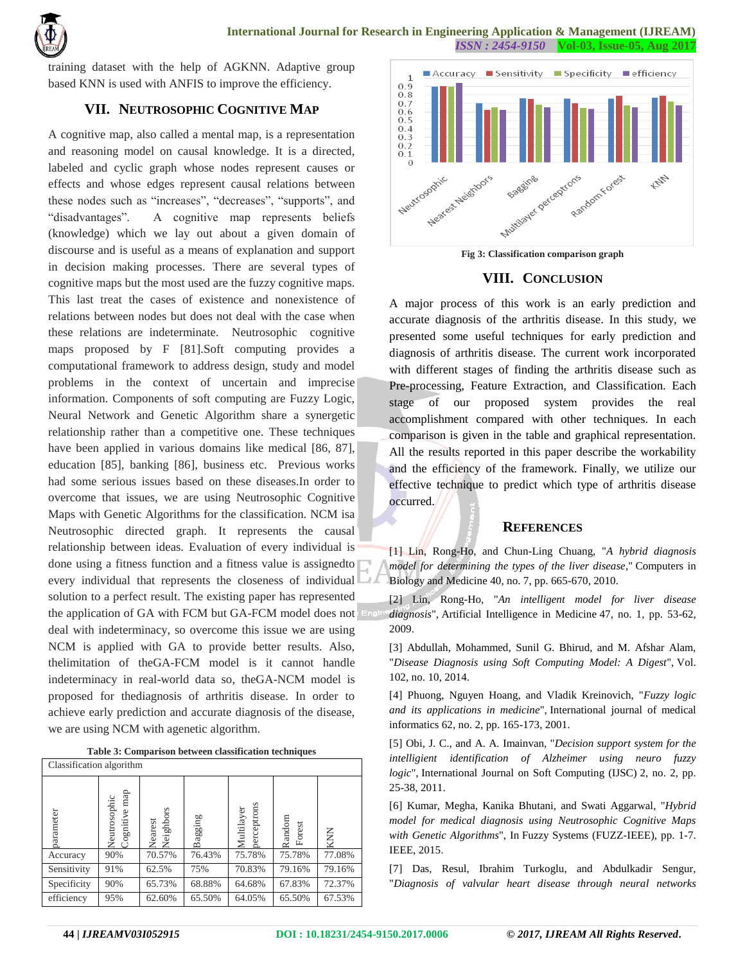

training dataset with the help of AGKNN. Adaptive group based KNN is used with ANFIS to improve the efficiency.

## **VII. NEUTROSOPHIC COGNITIVE MAP**

A cognitive map, also called a mental map, is a representation and reasoning model on causal knowledge. It is a directed, labeled and cyclic graph whose nodes represent causes or effects and whose edges represent causal relations between these nodes such as "increases", "decreases", "supports", and "disadvantages". A cognitive map represents beliefs (knowledge) which we lay out about a given domain of discourse and is useful as a means of explanation and support in decision making processes. There are several types of cognitive maps but the most used are the fuzzy cognitive maps. This last treat the cases of existence and nonexistence of relations between nodes but does not deal with the case when these relations are indeterminate. Neutrosophic cognitive maps proposed by F [81].Soft computing provides a computational framework to address design, study and model problems in the context of uncertain and imprecise information. Components of soft computing are Fuzzy Logic, Neural Network and Genetic Algorithm share a synergetic relationship rather than a competitive one. These techniques have been applied in various domains like medical [86, 87], education [85], banking [86], business etc. Previous works had some serious issues based on these diseases.In order to overcome that issues, we are using Neutrosophic Cognitive Maps with Genetic Algorithms for the classification. NCM isa Neutrosophic directed graph. It represents the causal relationship between ideas. Evaluation of every individual is done using a fitness function and a fitness value is assignedto every individual that represents the closeness of individual solution to a perfect result. The existing paper has represented the application of GA with FCM but GA-FCM model does not deal with indeterminacy, so overcome this issue we are using NCM is applied with GA to provide better results. Also, thelimitation of theGA-FCM model is it cannot handle indeterminacy in real-world data so, theGA-NCM model is proposed for thediagnosis of arthritis disease. In order to achieve early prediction and accurate diagnosis of the disease, we are using NCM with agenetic algorithm.

| Table 3: Comparison between classification techniques |  |
|-------------------------------------------------------|--|
|-------------------------------------------------------|--|

| Classification algorithm |                              |                           |         |                           |                  |        |
|--------------------------|------------------------------|---------------------------|---------|---------------------------|------------------|--------|
| parameter                | ognitive map<br>Neutrosophic | leighbors<br>Nearest<br>ラ | Bagging | perceptrons<br>Multilayer | Random<br>Forest | KNN    |
| Accuracy                 | 90%                          | 70.57%                    | 76.43%  | 75.78%                    | 75.78%           | 77.08% |
| Sensitivity              | 91%                          | 62.5%                     | 75%     | 70.83%                    | 79.16%           | 79.16% |
| Specificity              | 90%                          | 65.73%                    | 68.88%  | 64.68%                    | 67.83%           | 72.37% |
| efficiency               | 95%                          | 62.60%                    | 65.50%  | 64.05%                    | 65.50%           | 67.53% |



**Fig 3: Classification comparison graph**

#### **VIII. CONCLUSION**

A major process of this work is an early prediction and accurate diagnosis of the arthritis disease. In this study, we presented some useful techniques for early prediction and diagnosis of arthritis disease. The current work incorporated with different stages of finding the arthritis disease such as Pre-processing, Feature Extraction, and Classification. Each stage of our proposed system provides the real accomplishment compared with other techniques. In each comparison is given in the table and graphical representation. All the results reported in this paper describe the workability and the efficiency of the framework. Finally, we utilize our effective technique to predict which type of arthritis disease occurred.

#### **REFERENCES**

[1] Lin, Rong-Ho, and Chun-Ling Chuang, "*A hybrid diagnosis model for determining the types of the liver disease*," Computers in Biology and Medicine 40, no. 7, pp. 665-670, 2010.

[2] Lin, Rong-Ho, "*An intelligent model for liver disease diagnosis*", Artificial Intelligence in Medicine 47, no. 1, pp. 53-62, 2009.

[3] Abdullah, Mohammed, Sunil G. Bhirud, and M. Afshar Alam, "*Disease Diagnosis using Soft Computing Model: A Digest*", Vol. 102, no. 10, 2014.

[4] Phuong, Nguyen Hoang, and Vladik Kreinovich, "*Fuzzy logic and its applications in medicine*", International journal of medical informatics 62, no. 2, pp. 165-173, 2001.

[5] Obi, J. C., and A. A. Imainvan, "*Decision support system for the intelligient identification of Alzheimer using neuro fuzzy logic*", International Journal on Soft Computing (IJSC) 2, no. 2, pp. 25-38, 2011.

[6] Kumar, Megha, Kanika Bhutani, and Swati Aggarwal, "*Hybrid model for medical diagnosis using Neutrosophic Cognitive Maps with Genetic Algorithms*", In Fuzzy Systems (FUZZ-IEEE), pp. 1-7. IEEE, 2015.

[7] Das, Resul, Ibrahim Turkoglu, and Abdulkadir Sengur, "*Diagnosis of valvular heart disease through neural networks*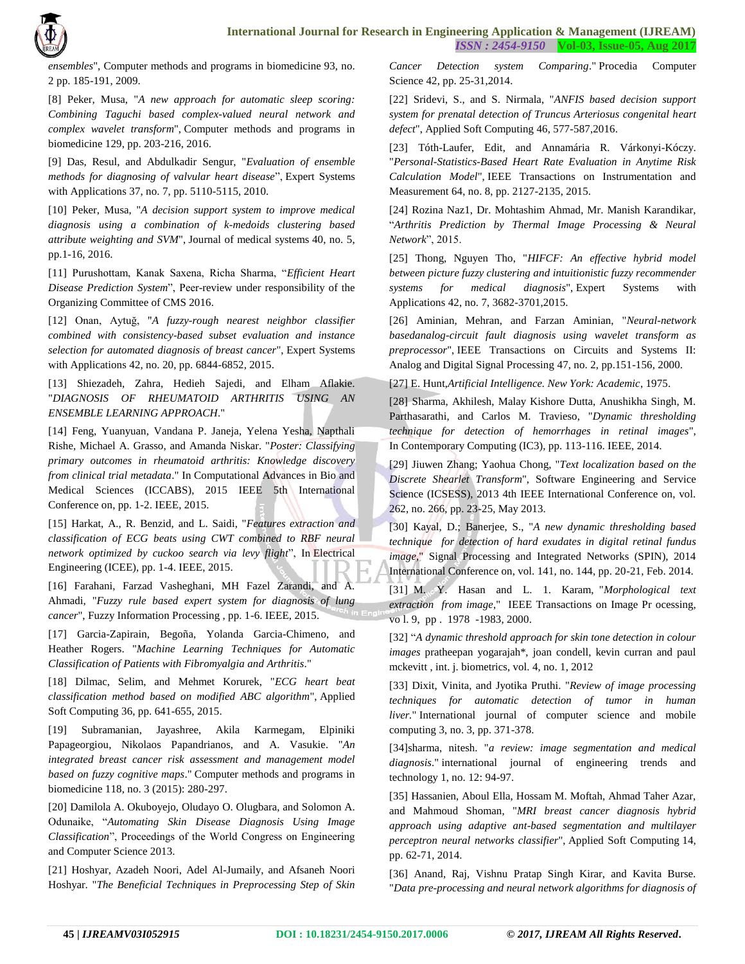

*ensembles*", Computer methods and programs in biomedicine 93, no. 2 pp. 185-191, 2009.

[8] Peker, Musa, "*A new approach for automatic sleep scoring: Combining Taguchi based complex-valued neural network and complex wavelet transform*", Computer methods and programs in biomedicine 129, pp. 203-216, 2016.

[9] Das, Resul, and Abdulkadir Sengur, "*Evaluation of ensemble methods for diagnosing of valvular heart disease*", Expert Systems with Applications 37, no. 7, pp. 5110-5115, 2010.

[10] Peker, Musa, "*A decision support system to improve medical diagnosis using a combination of k-medoids clustering based attribute weighting and SVM*", Journal of medical systems 40, no. 5, pp.1-16, 2016.

[11] Purushottam, Kanak Saxena, Richa Sharma, "*Efficient Heart Disease Prediction System*", Peer-review under responsibility of the Organizing Committee of CMS 2016.

[12] Onan, Aytuğ, "*A fuzzy-rough nearest neighbor classifier combined with consistency-based subset evaluation and instance selection for automated diagnosis of breast cancer*", Expert Systems with Applications 42, no. 20, pp. 6844-6852, 2015.

[13] Shiezadeh, Zahra, Hedieh Sajedi, and Elham Aflakie. "*DIAGNOSIS OF RHEUMATOID ARTHRITIS USING AN ENSEMBLE LEARNING APPROACH*."

[14] Feng, Yuanyuan, Vandana P. Janeja, Yelena Yesha, Napthali Rishe, Michael A. Grasso, and Amanda Niskar. "*Poster: Classifying primary outcomes in rheumatoid arthritis: Knowledge discovery from clinical trial metadata*." In Computational Advances in Bio and Medical Sciences (ICCABS), 2015 IEEE 5th International Conference on, pp. 1-2. IEEE, 2015.

[15] Harkat, A., R. Benzid, and L. Saidi, "*Features extraction and classification of ECG beats using CWT combined to RBF neural network optimized by cuckoo search via levy flight*", In Electrical Engineering (ICEE), pp. 1-4. IEEE, 2015.

[16] Farahani, Farzad Vasheghani, MH Fazel Zarandi, and A. Ahmadi, "*Fuzzy rule based expert system for diagnosis of lung cancer*", Fuzzy Information Processing , pp. 1-6. IEEE, 2015.

[17] Garcia-Zapirain, Begoña, Yolanda Garcia-Chimeno, and Heather Rogers. "*Machine Learning Techniques for Automatic Classification of Patients with Fibromyalgia and Arthritis*."

[18] Dilmac, Selim, and Mehmet Korurek, "*ECG heart beat classification method based on modified ABC algorithm*", Applied Soft Computing 36, pp. 641-655, 2015.

[19] Subramanian, Jayashree, Akila Karmegam, Elpiniki Papageorgiou, Nikolaos Papandrianos, and A. Vasukie. "*An integrated breast cancer risk assessment and management model based on fuzzy cognitive maps*." Computer methods and programs in biomedicine 118, no. 3 (2015): 280-297.

[20] Damilola A. Okuboyejo, Oludayo O. Olugbara, and Solomon A. Odunaike, "*Automating Skin Disease Diagnosis Using Image Classification*", Proceedings of the World Congress on Engineering and Computer Science 2013.

[21] Hoshyar, Azadeh Noori, Adel Al-Jumaily, and Afsaneh Noori Hoshyar. "*The Beneficial Techniques in Preprocessing Step of Skin* 

*Cancer Detection system Comparing*." Procedia Computer Science 42, pp. 25-31,2014.

[22] Sridevi, S., and S. Nirmala, "*ANFIS based decision support system for prenatal detection of Truncus Arteriosus congenital heart defect*", Applied Soft Computing 46, 577-587,2016.

[23] Tóth-Laufer, Edit, and Annamária R. Várkonyi-Kóczy. "*Personal-Statistics-Based Heart Rate Evaluation in Anytime Risk Calculation Model*", IEEE Transactions on Instrumentation and Measurement 64, no. 8, pp. 2127-2135, 2015.

[24] Rozina Naz1, Dr. Mohtashim Ahmad, Mr. Manish Karandikar, "*Arthritis Prediction by Thermal Image Processing & Neural Network*", 2015.

[25] Thong, Nguyen Tho, "*HIFCF: An effective hybrid model between picture fuzzy clustering and intuitionistic fuzzy recommender systems for medical diagnosis*", Expert Systems with Applications 42, no. 7, 3682-3701,2015.

[26] Aminian, Mehran, and Farzan Aminian, "*Neural-network basedanalog-circuit fault diagnosis using wavelet transform as preprocessor*", IEEE Transactions on Circuits and Systems II: Analog and Digital Signal Processing 47, no. 2, pp.151-156, 2000.

[27] E. Hunt,*Artificial Intelligence. New York: Academic*, 1975.

[28] Sharma, Akhilesh, Malay Kishore Dutta, Anushikha Singh, M. Parthasarathi, and Carlos M. Travieso, "*Dynamic thresholding technique for detection of hemorrhages in retinal images*", In Contemporary Computing (IC3), pp. 113-116. IEEE, 2014.

[29] Jiuwen Zhang; Yaohua Chong, "*Text localization based on the Discrete Shearlet Transform*", Software Engineering and Service Science (ICSESS), 2013 4th IEEE International Conference on, vol. 262, no. 266, pp. 23-25, May 2013.

[30] Kayal, D.; Banerjee, S., "*A new dynamic thresholding based technique for detection of hard exudates in digital retinal fundus image*," Signal Processing and Integrated Networks (SPIN), 2014 International Conference on, vol. 141, no. 144, pp. 20-21, Feb. 2014.

[31] M. Y. Hasan and L. 1. Karam, "*Morphological text extraction from image*," IEEE Transactions on Image Pr ocessing, vo l. 9, pp . 1978 -1983, 2000.

[32] "*A dynamic threshold approach for skin tone detection in colour images* pratheepan yogarajah\*, joan condell, kevin curran and paul mckevitt , int. j. biometrics, vol. 4, no. 1, 2012

[33] Dixit, Vinita, and Jyotika Pruthi. "*Review of image processing techniques for automatic detection of tumor in human liver.*" International journal of computer science and mobile computing 3, no. 3, pp. 371-378.

[34]sharma, nitesh. "*a review: image segmentation and medical diagnosis*." international journal of engineering trends and technology 1, no. 12: 94-97.

[35] Hassanien, Aboul Ella, Hossam M. Moftah, Ahmad Taher Azar, and Mahmoud Shoman, "*MRI breast cancer diagnosis hybrid approach using adaptive ant-based segmentation and multilayer perceptron neural networks classifier*", Applied Soft Computing 14, pp. 62-71, 2014.

[36] Anand, Raj, Vishnu Pratap Singh Kirar, and Kavita Burse. "*Data pre-processing and neural network algorithms for diagnosis of*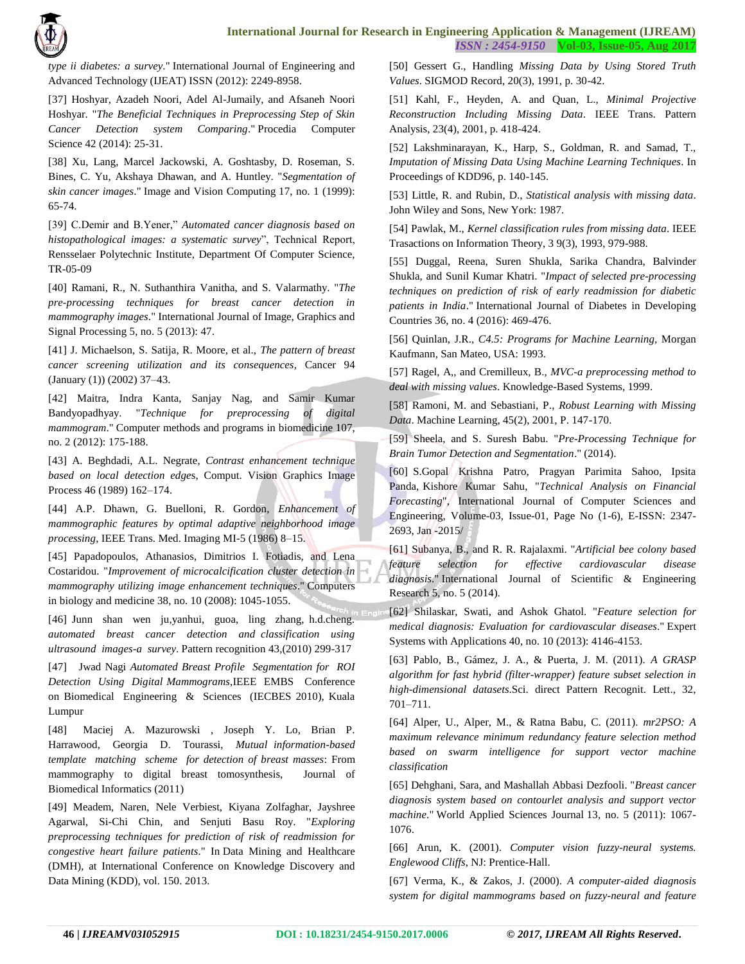

*type ii diabetes: a survey*." International Journal of Engineering and Advanced Technology (IJEAT) ISSN (2012): 2249-8958.

[37] Hoshyar, Azadeh Noori, Adel Al-Jumaily, and Afsaneh Noori Hoshyar. "*The Beneficial Techniques in Preprocessing Step of Skin Cancer Detection system Comparing*." Procedia Computer Science 42 (2014): 25-31.

[38] Xu, Lang, Marcel Jackowski, A. Goshtasby, D. Roseman, S. Bines, C. Yu, Akshaya Dhawan, and A. Huntley. "*Segmentation of skin cancer images*." Image and Vision Computing 17, no. 1 (1999): 65-74.

[39] C.Demir and B.Yener," *Automated cancer diagnosis based on histopathological images: a systematic survey*", Technical Report, Rensselaer Polytechnic Institute, Department Of Computer Science, TR-05-09

[40] Ramani, R., N. Suthanthira Vanitha, and S. Valarmathy. "*The pre-processing techniques for breast cancer detection in mammography images*." International Journal of Image, Graphics and Signal Processing 5, no. 5 (2013): 47.

[41] J. Michaelson, S. Satija, R. Moore, et al., *The pattern of breast cancer screening utilization and its consequences*, Cancer 94 (January (1)) (2002) 37–43.

[42] Maitra, Indra Kanta, Sanjay Nag, and Samir Kumar Bandyopadhyay. "*Technique for preprocessing of digital mammogram*." Computer methods and programs in biomedicine 107, no. 2 (2012): 175-188.

[43] A. Beghdadi, A.L. Negrate, *Contrast enhancement technique based on local detection edge*s, Comput. Vision Graphics Image Process 46 (1989) 162–174.

[44] A.P. Dhawn, G. Buelloni, R. Gordon, *Enhancement of mammographic features by optimal adaptive neighborhood image processing*, IEEE Trans. Med. Imaging MI-5 (1986) 8–15.

[45] Papadopoulos, Athanasios, Dimitrios I. Fotiadis, and Lena Costaridou. "*Improvement of microcalcification cluster detection in mammography utilizing image enhancement techniques*." Computers in biology and medicine 38, no. 10 (2008): 1045-1055.

[46] Junn shan wen ju,yanhui, guoa, ling zhang, h.d.cheng. *automated breast cancer detection and classification using ultrasound images-a survey*. Pattern recognition 43,(2010) 299-317

[47] Jwad Nagi *Automated Breast Profile Segmentation for ROI Detection Using Digital Mammograms*,IEEE EMBS Conference on Biomedical Engineering & Sciences (IECBES 2010), Kuala Lumpur

[48] Maciej A. Mazurowski , Joseph Y. Lo, Brian P. Harrawood, Georgia D. Tourassi, *Mutual information-based template matching scheme for detection of breast masses*: From mammography to digital breast tomosynthesis, Journal of Biomedical Informatics (2011)

[49] Meadem, Naren, Nele Verbiest, Kiyana Zolfaghar, Jayshree Agarwal, Si-Chi Chin, and Senjuti Basu Roy. "*Exploring preprocessing techniques for prediction of risk of readmission for congestive heart failure patients*." In Data Mining and Healthcare (DMH), at International Conference on Knowledge Discovery and Data Mining (KDD), vol. 150. 2013.

[50] Gessert G., Handling *Missing Data by Using Stored Truth Values*. SIGMOD Record, 20(3), 1991, p. 30-42.

[51] Kahl, F., Heyden, A. and Quan, L., *Minimal Projective Reconstruction Including Missing Data*. IEEE Trans. Pattern Analysis, 23(4), 2001, p. 418-424.

[52] Lakshminarayan, K., Harp, S., Goldman, R. and Samad, T., *Imputation of Missing Data Using Machine Learning Techniques*. In Proceedings of KDD96, p. 140-145.

[53] Little, R. and Rubin, D., *Statistical analysis with missing data*. John Wiley and Sons, New York: 1987.

[54] Pawlak, M., *Kernel classification rules from missing data*. IEEE Trasactions on Information Theory, 3 9(3), 1993, 979-988.

[55] Duggal, Reena, Suren Shukla, Sarika Chandra, Balvinder Shukla, and Sunil Kumar Khatri. "*Impact of selected pre-processing techniques on prediction of risk of early readmission for diabetic patients in India*." International Journal of Diabetes in Developing Countries 36, no. 4 (2016): 469-476.

[56] Quinlan, J.R., *C4.5: Programs for Machine Learning,* Morgan Kaufmann, San Mateo, USA: 1993.

[57] Ragel, A,, and Cremilleux, B., *MVC-a preprocessing method to deal with missing values*. Knowledge-Based Systems, 1999.

[58] Ramoni, M. and Sebastiani, P., *Robust Learning with Missing Data*. Machine Learning, 45(2), 2001, P. 147-170.

[59] Sheela, and S. Suresh Babu. "*Pre-Processing Technique for Brain Tumor Detection and Segmentation*." (2014).

[60] S.Gopal Krishna Patro, Pragyan Parimita Sahoo, Ipsita Panda, Kishore Kumar Sahu, "*Technical Analysis on Financial Forecasting*", International Journal of Computer Sciences and Engineering, Volume-03, Issue-01, Page No (1-6), E-ISSN: 2347- 2693, Jan -2015/

[61] Subanya, B., and R. R. Rajalaxmi. "*Artificial bee colony based feature selection for effective cardiovascular disease diagnosis*." International Journal of Scientific & Engineering Research 5, no. 5 (2014).

[62] Shilaskar, Swati, and Ashok Ghatol. "*Feature selection for medical diagnosis: Evaluation for cardiovascular diseases*." Expert Systems with Applications 40, no. 10 (2013): 4146-4153.

[63] Pablo, B., Gámez, J. A., & Puerta, J. M. (2011). *A GRASP algorithm for fast hybrid (filter-wrapper) feature subset selection in high-dimensional datasets*.Sci. direct Pattern Recognit. Lett., 32, 701–711.

[64] Alper, U., Alper, M., & Ratna Babu, C. (2011). *mr2PSO: A maximum relevance minimum redundancy feature selection method based on swarm intelligence for support vector machine classification*

[65] Dehghani, Sara, and Mashallah Abbasi Dezfooli. "*Breast cancer diagnosis system based on contourlet analysis and support vector machine*." World Applied Sciences Journal 13, no. 5 (2011): 1067- 1076.

[66] Arun, K. (2001). *Computer vision fuzzy-neural systems. Englewood Cliffs*, NJ: Prentice-Hall.

[67] Verma, K., & Zakos, J. (2000). *A computer-aided diagnosis system for digital mammograms based on fuzzy-neural and feature*